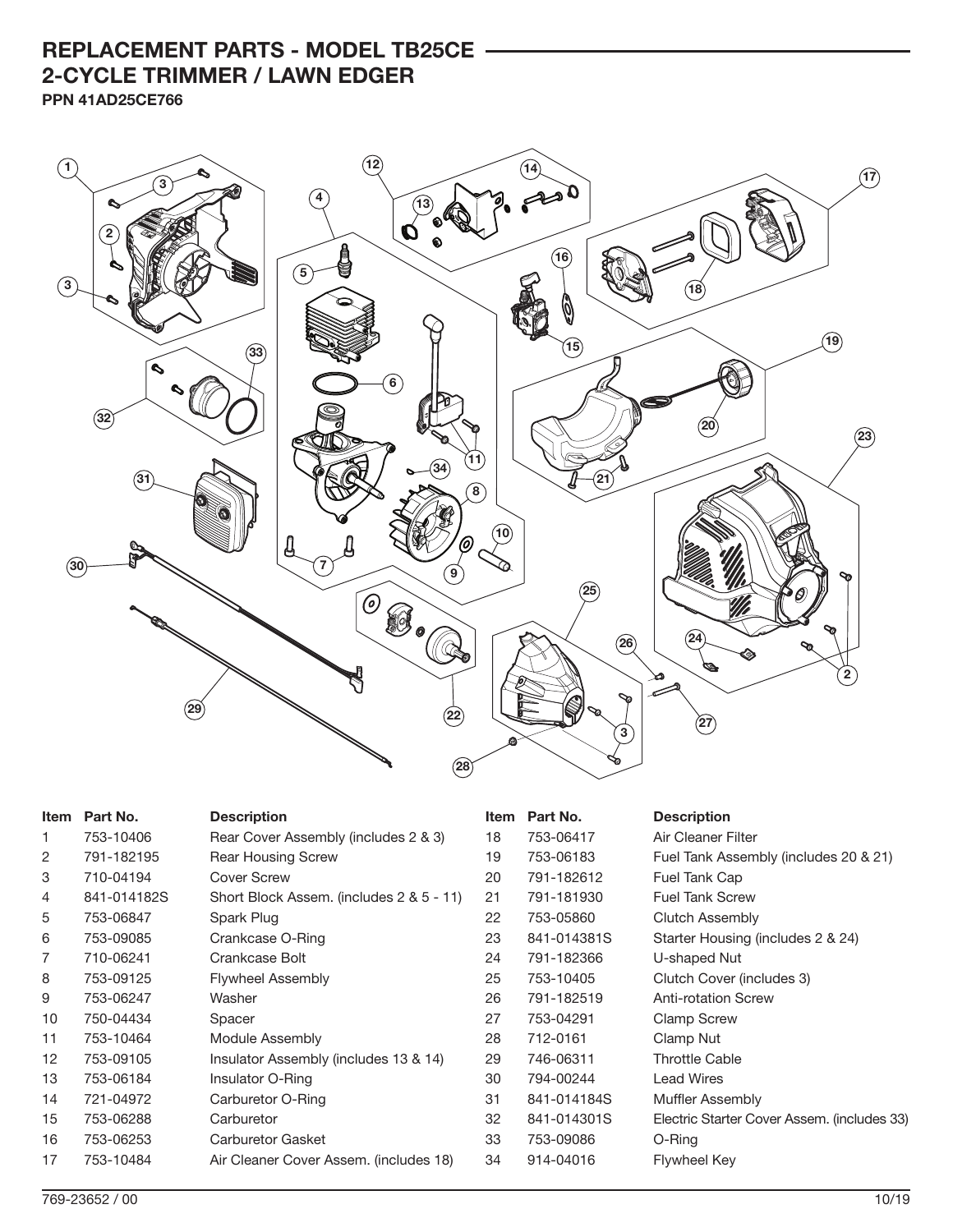## **REPLACEMENT PARTS - MODEL TB25CE 2-CYCLE TRIMMER / LAWN EDGER PPN 41AD25CE766**

**12 1 14 17 3**  $\sim$ **4 13**  $\sim$ Q **2 16** ë **5 3 18** b. **19 15 33** ۹ **6**  $\sim$ Ū "lli **32 20 23 11 34**≤े **31 21 8 10** 'o **30 7 9 25 24 26**  $\blacktriangle$ **2**  $\epsilon$  $\sim$ **29 22 27 3 28**

| Item | Part No.    | <b>Description</b>                       | Item | Part No.    | <b>Description</b>                          |
|------|-------------|------------------------------------------|------|-------------|---------------------------------------------|
| 1    | 753-10406   | Rear Cover Assembly (includes 2 & 3)     | 18   | 753-06417   | Air Cleaner Filter                          |
| 2    | 791-182195  | <b>Rear Housing Screw</b>                | 19   | 753-06183   | Fuel Tank Assembly (includes 20 & 21)       |
| 3    | 710-04194   | Cover Screw                              | 20   | 791-182612  | Fuel Tank Cap                               |
| 4    | 841-014182S | Short Block Assem. (includes 2 & 5 - 11) | 21   | 791-181930  | <b>Fuel Tank Screw</b>                      |
| 5    | 753-06847   | Spark Plug                               | 22   | 753-05860   | Clutch Assembly                             |
| 6    | 753-09085   | Crankcase O-Ring                         | 23   | 841-014381S | Starter Housing (includes 2 & 24)           |
| 7    | 710-06241   | Crankcase Bolt                           | 24   | 791-182366  | U-shaped Nut                                |
| 8    | 753-09125   | <b>Flywheel Assembly</b>                 | 25   | 753-10405   | Clutch Cover (includes 3)                   |
| 9    | 753-06247   | Washer                                   | 26   | 791-182519  | <b>Anti-rotation Screw</b>                  |
| 10   | 750-04434   | Spacer                                   | 27   | 753-04291   | <b>Clamp Screw</b>                          |
| 11   | 753-10464   | Module Assembly                          | 28   | 712-0161    | Clamp Nut                                   |
| 12   | 753-09105   | Insulator Assembly (includes 13 & 14)    | 29   | 746-06311   | <b>Throttle Cable</b>                       |
| 13   | 753-06184   | Insulator O-Ring                         | 30   | 794-00244   | <b>Lead Wires</b>                           |
| 14   | 721-04972   | Carburetor O-Ring                        | 31   | 841-014184S | <b>Muffler Assembly</b>                     |
| 15   | 753-06288   | Carburetor                               | 32   | 841-014301S | Electric Starter Cover Assem. (includes 33) |
| 16   | 753-06253   | <b>Carburetor Gasket</b>                 | 33   | 753-09086   | O-Ring                                      |
| 17   | 753-10484   | Air Cleaner Cover Assem. (includes 18)   | 34   | 914-04016   | Flywheel Key                                |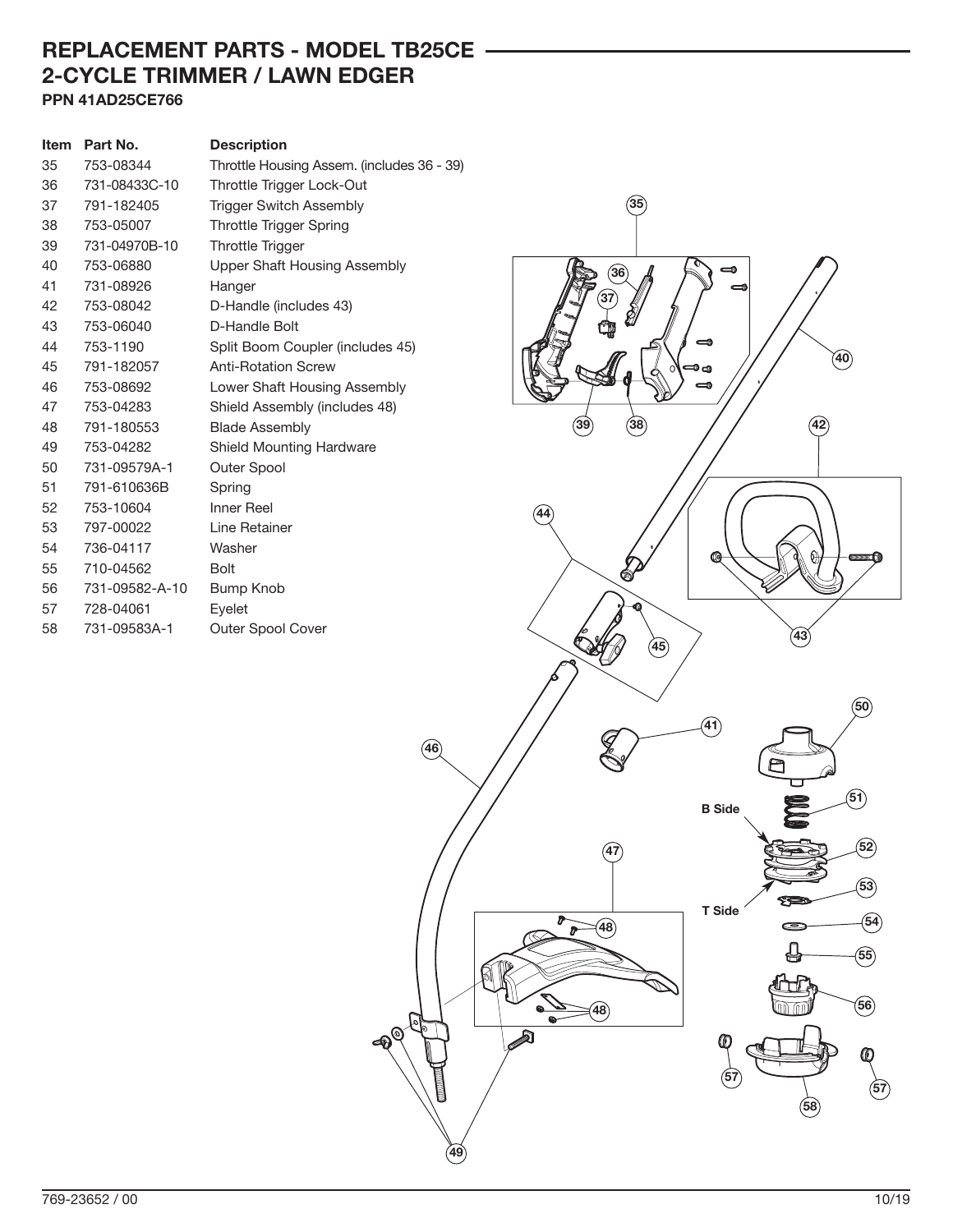## **REPLACEMENT PARTS - MODEL TB25CE 2-CYCLE TRIMMER / LAWN EDGER PPN 41AD25CE766**

| Item | Part No.       | <b>Description</b>                         |
|------|----------------|--------------------------------------------|
| 35   | 753-08344      | Throttle Housing Assem. (includes 36 - 39) |
| 36   | 731-08433C-10  | Throttle Trigger Lock-Out                  |
| 37   | 791-182405     | <b>Trigger Switch Assembly</b>             |
| 38   | 753-05007      | <b>Throttle Trigger Spring</b>             |
| 39   | 731-04970B-10  | <b>Throttle Trigger</b>                    |
| 40   | 753-06880      | Upper Shaft Housing Assembly               |
| 41   | 731-08926      | Hanger                                     |
| 42   | 753-08042      | D-Handle (includes 43)                     |
| 43   | 753-06040      | D-Handle Bolt                              |
| 44   | 753-1190       | Split Boom Coupler (includes 45)           |
| 45   | 791-182057     | <b>Anti-Rotation Screw</b>                 |
| 46   | 753-08692      | Lower Shaft Housing Assembly               |
| 47   | 753-04283      | Shield Assembly (includes 48)              |
| 48   | 791-180553     | <b>Blade Assembly</b>                      |
| 49   | 753-04282      | <b>Shield Mounting Hardware</b>            |
| 50   | 731-09579A-1   | Outer Spool                                |
| 51   | 791-610636B    | Spring                                     |
| 52   | 753-10604      | <b>Inner Reel</b>                          |
| 53   | 797-00022      | Line Retainer                              |
| 54   | 736-04117      | Washer                                     |
| 55   | 710-04562      | <b>Bolt</b>                                |
| 56   | 731-09582-A-10 | Bump Knob                                  |
| 57   | 728-04061      | Eyelet                                     |
| 58   | 731-09583A-1   | <b>Outer Spool Cover</b>                   |

 $\circledast$